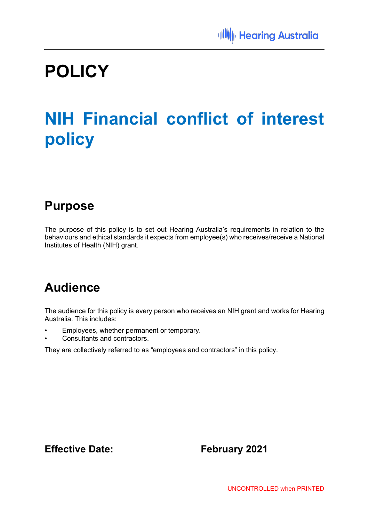# **POLICY**

# **NIH Financial conflict of interest policy**

### **Purpose**

The purpose of this policy is to set out Hearing Australia's requirements in relation to the behaviours and ethical standards it expects from employee(s) who receives/receive a National Institutes of Health (NIH) grant.

## **Audience**

The audience for this policy is every person who receives an NIH grant and works for Hearing Australia. This includes:

- Employees, whether permanent or temporary.
- Consultants and contractors.

They are collectively referred to as "employees and contractors" in this policy.

### **Effective Date:** February 2021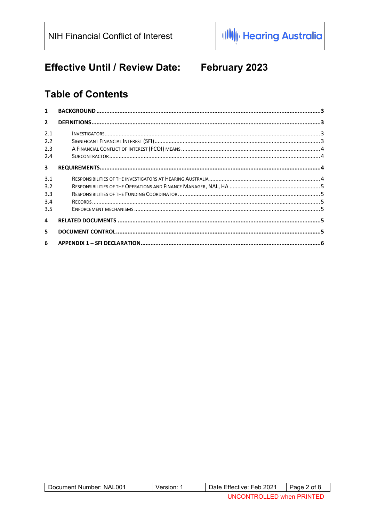#### **Effective Until / Review Date:** February 2023

### **Table of Contents**

| 1              |  |
|----------------|--|
| $\mathfrak{p}$ |  |
| 2.1<br>2.2     |  |
| 2.3            |  |
| 2.4            |  |
| 3              |  |
| 3.1            |  |
| 3.2            |  |
| 3.3            |  |
| 3.4            |  |
| 3.5            |  |
| 4              |  |
| 5.             |  |
| 6              |  |

| Document Number: NAL001 | version: | Date Effective: Feb 2021  | Page 2 of 8 |
|-------------------------|----------|---------------------------|-------------|
|                         |          | UNCONTROLLED when PRINTED |             |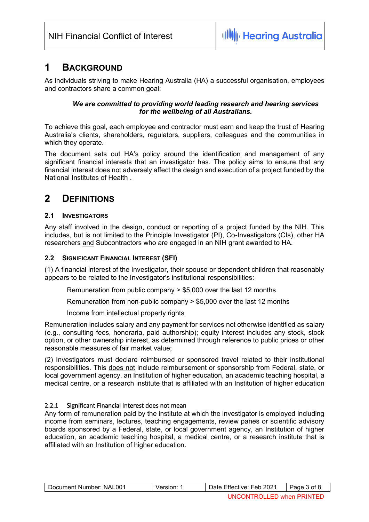#### **1 BACKGROUND**

As individuals striving to make Hearing Australia (HA) a successful organisation, employees and contractors share a common goal:

#### *We are committed to providing world leading research and hearing services for the wellbeing of all Australians.*

To achieve this goal, each employee and contractor must earn and keep the trust of Hearing Australia's clients, shareholders, regulators, suppliers, colleagues and the communities in which they operate.

The document sets out HA's policy around the identification and management of any significant financial interests that an investigator has. The policy aims to ensure that any financial interest does not adversely affect the design and execution of a project funded by the National Institutes of Health .

### **2 DEFINITIONS**

#### **2.1 INVESTIGATORS**

Any staff involved in the design, conduct or reporting of a project funded by the NIH. This includes, but is not limited to the Principle Investigator (PI), Co-Investigators (CIs), other HA researchers and Subcontractors who are engaged in an NIH grant awarded to HA.

#### **2.2 SIGNIFICANT FINANCIAL INTEREST (SFI)**

(1) A financial interest of the Investigator, their spouse or dependent children that reasonably appears to be related to the Investigator's institutional responsibilities:

Remuneration from public company > \$5,000 over the last 12 months

Remuneration from non-public company > \$5,000 over the last 12 months

Income from intellectual property rights

Remuneration includes salary and any payment for services not otherwise identified as salary (e.g., consulting fees, honoraria, paid authorship); equity interest includes any stock, stock option, or other ownership interest, as determined through reference to public prices or other reasonable measures of fair market value;

(2) Investigators must declare reimbursed or sponsored travel related to their institutional responsibilities. This does not include reimbursement or sponsorship from Federal, state, or local government agency, an Institution of higher education, an academic teaching hospital, a medical centre, or a research institute that is affiliated with an Institution of higher education

#### 2.2.1 Significant Financial Interest does not mean

Any form of remuneration paid by the institute at which the investigator is employed including income from seminars, lectures, teaching engagements, review panes or scientific advisory boards sponsored by a Federal, state, or local government agency, an Institution of higher education, an academic teaching hospital, a medical centre, or a research institute that is affiliated with an Institution of higher education.

| Document Number: NAL001 | Version: | Date Effective: Feb 2021  | Page 3 of 8 |
|-------------------------|----------|---------------------------|-------------|
|                         |          | UNCONTROLLED when PRINTED |             |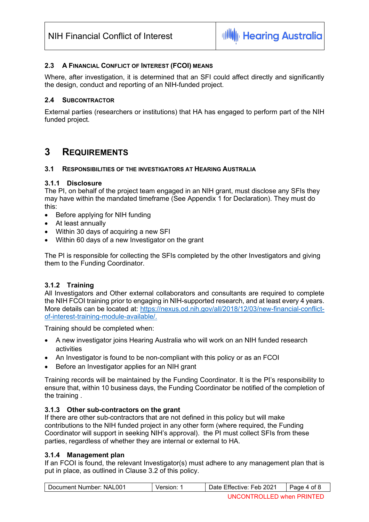#### **2.3 A FINANCIAL CONFLICT OF INTEREST (FCOI) MEANS**

Where, after investigation, it is determined that an SFI could affect directly and significantly the design, conduct and reporting of an NIH-funded project.

#### **2.4 SUBCONTRACTOR**

External parties (researchers or institutions) that HA has engaged to perform part of the NIH funded project.

#### **3 REQUIREMENTS**

#### **3.1 RESPONSIBILITIES OF THE INVESTIGATORS AT HEARING AUSTRALIA**

#### **3.1.1 Disclosure**

The PI, on behalf of the project team engaged in an NIH grant, must disclose any SFIs they may have within the mandated timeframe (See Appendix 1 for Declaration). They must do this:

- Before applying for NIH funding
- At least annually
- Within 30 days of acquiring a new SFI
- Within 60 days of a new Investigator on the grant

The PI is responsible for collecting the SFIs completed by the other Investigators and giving them to the Funding Coordinator.

#### **3.1.2 Training**

All Investigators and Other external collaborators and consultants are required to complete the NIH FCOI training prior to engaging in NIH-supported research, and at least every 4 years. More details can be located at: https://nexus.od.nih.gov/all/2018/12/03/new-financial-conflictof-interest-training-module-available/.

Training should be completed when:

- A new investigator joins Hearing Australia who will work on an NIH funded research activities
- An Investigator is found to be non-compliant with this policy or as an FCOI
- Before an Investigator applies for an NIH grant

Training records will be maintained by the Funding Coordinator. It is the PI's responsibility to ensure that, within 10 business days, the Funding Coordinator be notified of the completion of the training .

#### **3.1.3 Other sub-contractors on the grant**

If there are other sub-contractors that are not defined in this policy but will make contributions to the NIH funded project in any other form (where required, the Funding Coordinator will support in seeking NIH's approval). the PI must collect SFIs from these parties, regardless of whether they are internal or external to HA.

#### **3.1.4 Management plan**

If an FCOI is found, the relevant Investigator(s) must adhere to any management plan that is put in place, as outlined in Clause 3.2 of this policy.

| Document Number: NAL001 | Version: | Date Effective: Feb 2021  | Page 4 of 8 |
|-------------------------|----------|---------------------------|-------------|
|                         |          | UNCONTROLLED when PRINTED |             |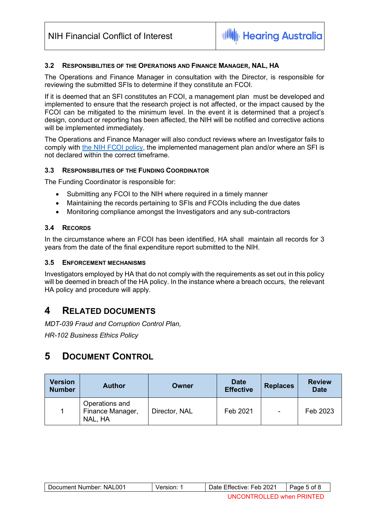#### **3.2 RESPONSIBILITIES OF THE OPERATIONS AND FINANCE MANAGER, NAL, HA**

The Operations and Finance Manager in consultation with the Director, is responsible for reviewing the submitted SFIs to determine if they constitute an FCOI.

If it is deemed that an SFI constitutes an FCOI, a management plan must be developed and implemented to ensure that the research project is not affected, or the impact caused by the FCOI can be mitigated to the minimum level. In the event it is determined that a project's design, conduct or reporting has been affected, the NIH will be notified and corrective actions will be implemented immediately.

The Operations and Finance Manager will also conduct reviews where an Investigator fails to comply with the NIH FCOI policy, the implemented management plan and/or where an SFI is not declared within the correct timeframe.

#### **3.3 RESPONSIBILITIES OF THE FUNDING COORDINATOR**

The Funding Coordinator is responsible for:

- Submitting any FCOI to the NIH where required in a timely manner
- Maintaining the records pertaining to SFIs and FCOIs including the due dates
- Monitoring compliance amongst the Investigators and any sub-contractors

#### **3.4 RECORDS**

In the circumstance where an FCOI has been identified, HA shall maintain all records for 3 years from the date of the final expenditure report submitted to the NIH.

#### **3.5 ENFORCEMENT MECHANISMS**

Investigators employed by HA that do not comply with the requirements as set out in this policy will be deemed in breach of the HA policy. In the instance where a breach occurs, the relevant HA policy and procedure will apply.

#### **4 RELATED DOCUMENTS**

*MDT-039 Fraud and Corruption Control Plan,* 

*HR-102 Business Ethics Policy*

#### **5 DOCUMENT CONTROL**

| Version<br><b>Number</b> | <b>Author</b>                                 | Owner         | <b>Date</b><br><b>Effective</b> | <b>Replaces</b>          | <b>Review</b><br><b>Date</b> |
|--------------------------|-----------------------------------------------|---------------|---------------------------------|--------------------------|------------------------------|
|                          | Operations and<br>Finance Manager,<br>NAL, HA | Director, NAL | Feb 2021                        | $\overline{\phantom{a}}$ | Feb 2023                     |

| Document Number: NAL001 | Date Effective: Feb 2021 | , of<br>Page |
|-------------------------|--------------------------|--------------|
|                         |                          |              |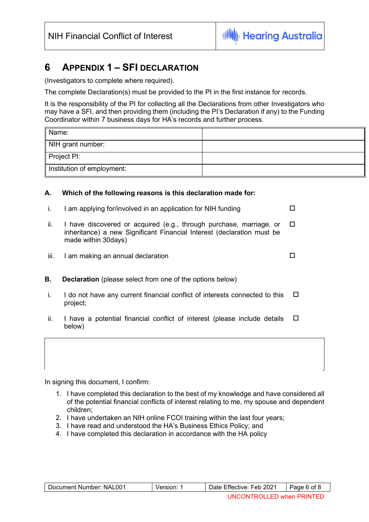### **6 APPENDIX 1 – SFI DECLARATION**

(Investigators to complete where required).

The complete Declaration(s) must be provided to the PI in the first instance for records.

It is the responsibility of the PI for collecting all the Declarations from other Investigators who may have a SFI, and then providing them (including the PI's Declaration if any) to the Funding Coordinator within 7 business days for HA's records and further process.

| Name:                      |  |
|----------------------------|--|
| NIH grant number:          |  |
| $\parallel$ Project PI:    |  |
| Institution of employment: |  |

#### **A. Which of the following reasons is this declaration made for:**

| $\mathbf{L}$ | I am applying for/involved in an application for NIH funding                                                                                                          |        |
|--------------|-----------------------------------------------------------------------------------------------------------------------------------------------------------------------|--------|
| ii.          | I have discovered or acquired (e.g., through purchase, marriage, or<br>inheritance) a new Significant Financial Interest (declaration must be<br>made within 30 days) | $\Box$ |
| iii.         | I am making an annual declaration                                                                                                                                     |        |
| В.           | <b>Declaration</b> (please select from one of the options below)                                                                                                      |        |
|              | I do not have any current financial conflict of interests connected to this<br>project;                                                                               | □      |

ii. I have a potential financial conflict of interest (please include details below)  $\Box$ 

| In signing this document, I confirm: |  |
|--------------------------------------|--|

- 1. I have completed this declaration to the best of my knowledge and have considered all of the potential financial conflicts of interest relating to me, my spouse and dependent children;
- 2. I have undertaken an NIH online FCOI training within the last four years;
- 3. I have read and understood the HA's Business Ethics Policy; and
- 4. I have completed this declaration in accordance with the HA policy

| Document Number: NAL001 | Version: | Date Effective: Feb 2021  | Page 6 of 8 |
|-------------------------|----------|---------------------------|-------------|
|                         |          | UNCONTROLLED when PRINTED |             |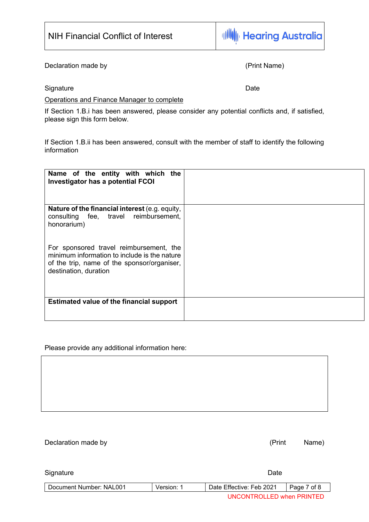Declaration made by **Exercise 2018** (Print Name)

#### Operations and Finance Manager to complete

If Section 1.B.i has been answered, please consider any potential conflicts and, if satisfied, please sign this form below.

If Section 1.B.ii has been answered, consult with the member of staff to identify the following information

| Name of the entity with which the<br>Investigator has a potential FCOI                                                                                          |  |
|-----------------------------------------------------------------------------------------------------------------------------------------------------------------|--|
| <b>Nature of the financial interest</b> (e.g. equity,<br>consulting fee, travel reimbursement,<br>honorarium)                                                   |  |
| For sponsored travel reimbursement, the<br>minimum information to include is the nature<br>of the trip, name of the sponsor/organiser,<br>destination, duration |  |
| <b>Estimated value of the financial support</b>                                                                                                                 |  |

Please provide any additional information here:

Declaration made by  $(Print$  Name)

| Signature               |            | Date                      |             |
|-------------------------|------------|---------------------------|-------------|
| Document Number: NAL001 | Version: 1 | Date Effective: Feb 2021  | Page 7 of 8 |
|                         |            | UNCONTROLLED when PRINTED |             |